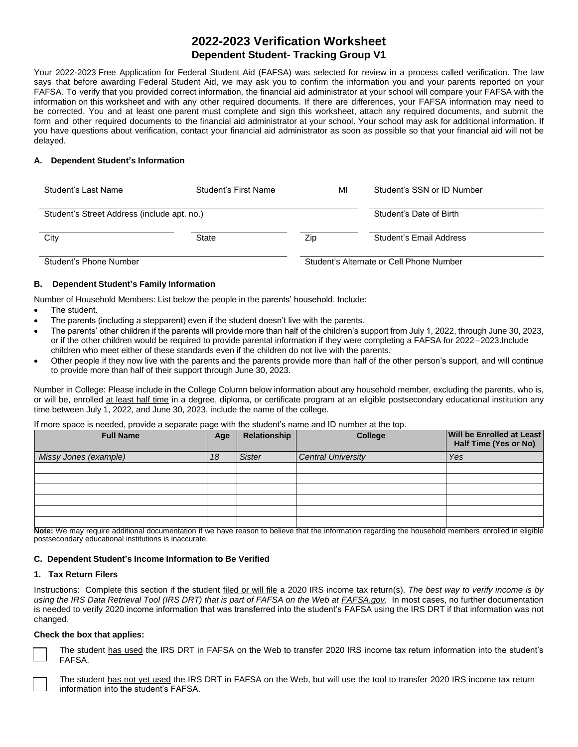# **2022-2023 Verification Worksheet Dependent Student- Tracking Group V1**

Your 2022-2023 Free Application for Federal Student Aid (FAFSA) was selected for review in a process called verification. The law says that before awarding Federal Student Aid, we may ask you to confirm the information you and your parents reported on your FAFSA. To verify that you provided correct information, the financial aid administrator at your school will compare your FAFSA with the information on this worksheet and with any other required documents. If there are differences, your FAFSA information may need to be corrected. You and at least one parent must complete and sign this worksheet, attach any required documents, and submit the form and other required documents to the financial aid administrator at your school. Your school may ask for additional information. If you have questions about verification, contact your financial aid administrator as soon as possible so that your financial aid will not be delayed.

# **A. Dependent Student's Information**

| Student's Last Name                         | Student's First Name    | MI  | Student's SSN or ID Number |
|---------------------------------------------|-------------------------|-----|----------------------------|
| Student's Street Address (include apt. no.) | Student's Date of Birth |     |                            |
| City                                        | State                   | Zip | Student's Email Address    |

Student's Phone Number Student's Alternate or Cell Phone Number

# **B. Dependent Student's Family Information**

Number of Household Members: List below the people in the parents' household. Include:

- The student.
- The parents (including a stepparent) even if the student doesn't live with the parents.
- The parents' other children if the parents will provide more than half of the children's support from July 1, 2022, through June 30, 2023, or if the other children would be required to provide parental information if they were completing a FAFSA for 2022 –2023.Include children who meet either of these standards even if the children do not live with the parents.
- Other people if they now live with the parents and the parents provide more than half of the other person's support, and will continue to provide more than half of their support through June 30, 2023.

 Number in College: Please include in the College Column below information about any household member, excluding the parents, who is, or will be, enrolled at least half time in a degree, diploma, or certificate program at an eligible postsecondary educational institution any time between July 1, 2022, and June 30, 2023, include the name of the college.

If more space is needed, provide a separate page with the student's name and ID number at the top.

| <b>Full Name</b>                                                                                                                                                                                                               | Age | Relationship  | <b>College</b>            | Will be Enrolled at Least<br>Half Time (Yes or No) |
|--------------------------------------------------------------------------------------------------------------------------------------------------------------------------------------------------------------------------------|-----|---------------|---------------------------|----------------------------------------------------|
| Missy Jones (example)                                                                                                                                                                                                          | 18  | <b>Sister</b> | <b>Central University</b> | Yes                                                |
|                                                                                                                                                                                                                                |     |               |                           |                                                    |
|                                                                                                                                                                                                                                |     |               |                           |                                                    |
|                                                                                                                                                                                                                                |     |               |                           |                                                    |
|                                                                                                                                                                                                                                |     |               |                           |                                                    |
|                                                                                                                                                                                                                                |     |               |                           |                                                    |
| March Mr. See, and and additional decouperation of the contract of the contraction of a contract and a contract of the contract of the contract of the contract of the contract of the contract of the contract of the contrac |     |               |                           |                                                    |

 **Note:** We may require additional documentation if we have reason to believe that the information regarding the household members enrolled in eligible postsecondary educational institutions is inaccurate.

# **C. Dependent Student's Income Information to Be Verified**

# **1. Tax Return Filers**

 Instructions: Complete this section if the student filed or will file a 2020 IRS income tax return(s). *The best way to verify income is by*  using the IRS Data Retrieval Tool (IRS DRT) that is part of FAFSA on the Web at **[FAFSA.gov.](https://FAFSA.gov)** In most cases, no further documentation is needed to verify 2020 income information that was transferred into the student's FAFSA using the IRS DRT if that information was not changed.

# **Check the box that applies:**

□

The student has used the IRS DRT in FAFSA on the Web to transfer 2020 IRS income tax return information into the student's FAFSA.



The student has not yet used the IRS DRT in FAFSA on the Web, but will use the tool to transfer 2020 IRS income tax return information into the student's FAFSA.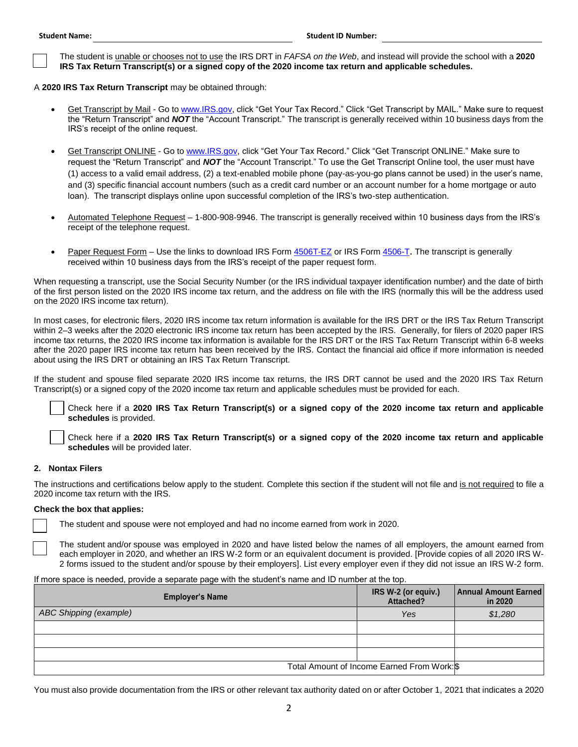The student is unable or chooses not to use the IRS DRT in *FAFSA on the Web*, and instead will provide the school with a **2020**  □ **IRS Tax Return Transcript(s) or a signed copy of the 2020 income tax return and applicable schedules.** 

A **2020 IRS Tax Return Transcript** may be obtained through:

- <u>Get Transcript by Mail</u> Go to <u>www.IRS.gov</u>, click "Get Your Tax Record." Click "Get Transcript by MAIL." Make sure to request the "Return Transcript" and *NOT* the "Account Transcript." The transcript is generally received within 10 business days from the IRS's receipt of the online request.
- (1) access to a valid email address, (2) a text-enabled mobile phone (pay-as-you-go plans cannot be used) in the user's name, and (3) specific financial account numbers (such as a credit card number or an account number for a home mortgage or auto loan). The transcript displays online upon successful completion of the IRS's two-step authentication. Get Transcript ONLINE - Go t[o www.IRS.gov,](http://www.irs.gov/) click "Get Your Tax Record." Click "Get Transcript ONLINE." Make sure to request the "Return Transcript" and *NOT* the "Account Transcript." To use the Get Transcript Online tool, the user must have
- Automated Telephone Request 1-800-908-9946. The transcript is generally received within 10 business days from the IRS's receipt of the telephone request.
- Paper Request Form Use the links to download IRS For[m 4506T-EZ](https://www.irs.gov/pub/irs-pdf/f4506tez.pdf) or IRS For[m 4506-T](https://www.irs.gov/pub/irs-pdf/f4506t.pdf). The transcript is generally received within 10 business days from the IRS's receipt of the paper request form.

 When requesting a transcript, use the Social Security Number (or the IRS individual taxpayer identification number) and the date of birth of the first person listed on the 2020 IRS income tax return, and the address on file with the IRS (normally this will be the address used on the 2020 IRS income tax return).

 In most cases, for electronic filers, 2020 IRS income tax return information is available for the IRS DRT or the IRS Tax Return Transcript after the 2020 paper IRS income tax return has been received by the IRS. Contact the financial aid office if more information is needed within 2–3 weeks after the 2020 electronic IRS income tax return has been accepted by the IRS. Generally, for filers of 2020 paper IRS income tax returns, the 2020 IRS income tax information is available for the IRS DRT or the IRS Tax Return Transcript within 6-8 weeks about using the IRS DRT or obtaining an IRS Tax Return Transcript.

 If the student and spouse filed separate 2020 IRS income tax returns, the IRS DRT cannot be used and the 2020 IRS Tax Return Transcript(s) or a signed copy of the 2020 income tax return and applicable schedules must be provided for each.

 □ Check here if a **2020 IRS Tax Return Transcript(s) or a signed copy of the 2020 income tax return and applicable schedules** is provided.

 □ Check here if a **2020 IRS Tax Return Transcript(s) or a signed copy of the 2020 income tax return and applicable schedules** will be provided later.

# **2. Nontax Filers**

The instructions and certifications below apply to the student. Complete this section if the student will not file and is not required to file a 2020 income tax return with the IRS.

#### **Check the box that applies:**

□ The student and spouse were not employed and had no income earned from work in 2020.

 each employer in 2020, and whether an IRS W-2 form or an equivalent document is provided. [Provide copies of all 2020 IRS W- 2 forms issued to the student and/or spouse by their employers]. List every employer even if they did not issue an IRS W-2 form. □ The student and/or spouse was employed in 2020 and have listed below the names of all employers, the amount earned from

If more space is needed, provide a separate page with the student's name and ID number at the top.

| <b>Employer's Name</b> | IRS W-2 (or equiv.)<br>Attached?            | <b>Annual Amount Earned</b><br>in 2020 |
|------------------------|---------------------------------------------|----------------------------------------|
| ABC Shipping (example) | Yes                                         | \$1,280                                |
|                        |                                             |                                        |
|                        |                                             |                                        |
|                        |                                             |                                        |
|                        | Total Amount of Income Earned From Work: \$ |                                        |

You must also provide documentation from the IRS or other relevant tax authority dated on or after October 1, 2021 that indicates a 2020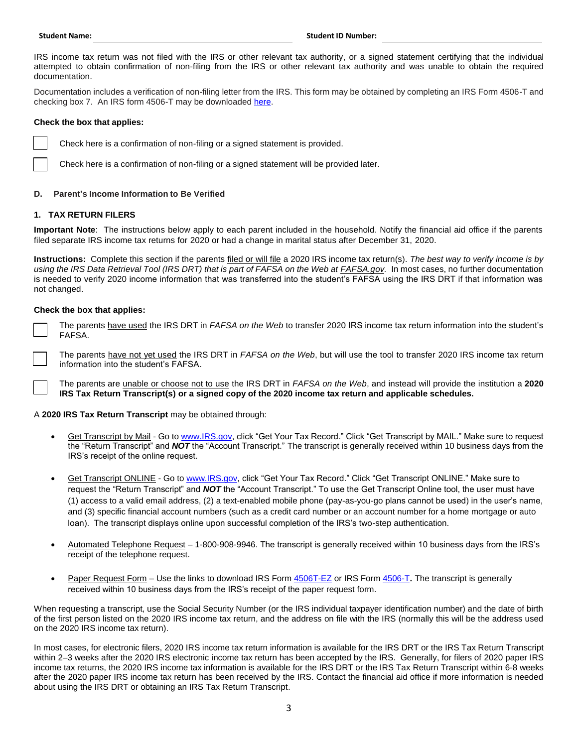IRS income tax return was not filed with the IRS or other relevant tax authority, or a signed statement certifying that the individual attempted to obtain confirmation of non-filing from the IRS or other relevant tax authority and was unable to obtain the required documentation.

 Documentation includes a verification of non-filing letter from the IRS. This form may be obtained by completing an IRS Form 4506-T and checking box 7. An IRS form 4506-T may be downloaded [here.](https://www.irs.gov/pub/irs-pdf/f4506t.pdf)

## **Check the box that applies:**

□ Check here is a confirmation of non-filing or a signed statement is provided.

□ Check here is a confirmation of non-filing or a signed statement will be provided later.

### **D. Parent's Income Information to Be Verified**

### **1. TAX RETURN FILERS**

 **Important Note**: The instructions below apply to each parent included in the household. Notify the financial aid office if the parents filed separate IRS income tax returns for 2020 or had a change in marital status after December 31, 2020.

using the IRS Data Retrieval Tool (IRS DRT) that is part of FAFSA on the Web at **[FAFSA.gov](https://FAFSA.gov)**. In most cases, no further documentation is needed to verify 2020 income information that was transferred into the student's FAFSA using the IRS DRT if that information was **Instructions:** Complete this section if the parents filed or will file a 2020 IRS income tax return(s). *The best way to verify income is by*  not changed.

#### **Check the box that applies:**

 The parents have used the IRS DRT in *FAFSA on the Web* to transfer 2020 IRS income tax return information into the student's □ FAFSA.

 The parents have not yet used the IRS DRT in *FAFSA on the Web*, but will use the tool to transfer 2020 IRS income tax return 口 i information into the student's FAFSA.

 The parents are unable or choose not to use the IRS DRT in *FAFSA on the Web*, and instead will provide the institution a **2020**  □ **IRS Tax Return Transcript(s) or a signed copy of the 2020 income tax return and applicable schedules.** 

A **2020 IRS Tax Return Transcript** may be obtained through:

- Get Transcript by Mail Go to [www.IRS.gov,](http://www.irs.gov/) click "Get Your Tax Record." Click "Get Transcript by MAIL." Make sure to request the "Return Transcript" and *NOT* the "Account Transcript." The transcript is generally received within 10 business days from the IRS's receipt of the online request.
- (1) access to a valid email address, (2) a text-enabled mobile phone (pay-as-you-go plans cannot be used) in the user's name, and (3) specific financial account numbers (such as a credit card number or an account number for a home mortgage or auto loan). The transcript displays online upon successful completion of the IRS's two-step authentication. Get Transcript ONLINE - Go t[o www.IRS.gov,](http://www.irs.gov/) click "Get Your Tax Record." Click "Get Transcript ONLINE." Make sure to request the "Return Transcript" and *NOT* the "Account Transcript." To use the Get Transcript Online tool, the user must have
- Automated Telephone Request 1-800-908-9946. The transcript is generally received within 10 business days from the IRS's receipt of the telephone request.
- Paper Request Form Use the links to download IRS For[m 4506T-EZ](https://www.irs.gov/pub/irs-pdf/f4506tez.pdf) or IRS For[m 4506-T](https://www.irs.gov/pub/irs-pdf/f4506t.pdf). The transcript is generally received within 10 business days from the IRS's receipt of the paper request form.

 When requesting a transcript, use the Social Security Number (or the IRS individual taxpayer identification number) and the date of birth of the first person listed on the 2020 IRS income tax return, and the address on file with the IRS (normally this will be the address used on the 2020 IRS income tax return).

 In most cases, for electronic filers, 2020 IRS income tax return information is available for the IRS DRT or the IRS Tax Return Transcript after the 2020 paper IRS income tax return has been received by the IRS. Contact the financial aid office if more information is needed within 2–3 weeks after the 2020 IRS electronic income tax return has been accepted by the IRS. Generally, for filers of 2020 paper IRS income tax returns, the 2020 IRS income tax information is available for the IRS DRT or the IRS Tax Return Transcript within 6-8 weeks about using the IRS DRT or obtaining an IRS Tax Return Transcript.